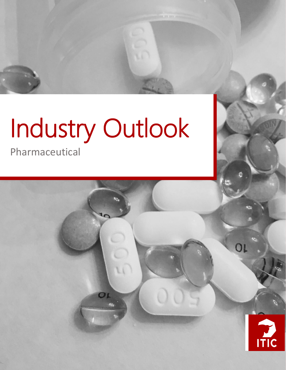# Industry Outlook

OL

Pharmaceutical



OL

*Pharmaceutical Industry Outlook*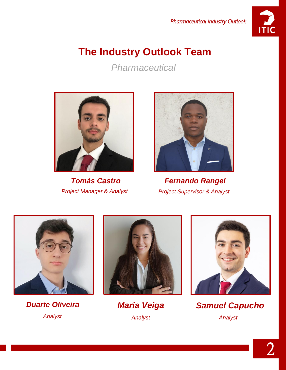

# **The Industry Outlook Team**

*Pharmaceutical*





*Tomás Castro Fernando Rangel Project Manager & Analyst Project Supervisor & Analyst*



*Duarte Oliveira Maria Veiga Analyst Analyst*





*Samuel Capucho Analyst*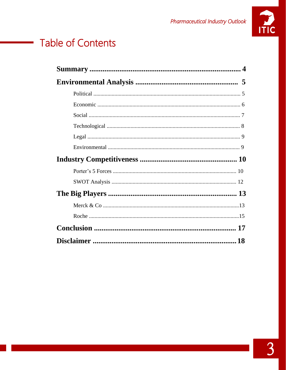

# **Table of Contents**

 $\sim 10^{11}$  m  $^{-1}$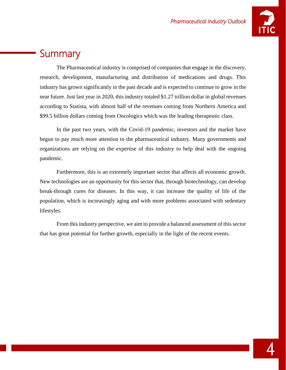

## **Summary**

The Pharmaceutical industry is comprised of companies that engage in the discovery, research, development, manufacturing and distribution of medications and drugs. This industry has grown significantly in the past decade and is expected to continue to grow in the near future. Just last year in 2020, this industry totaled \$1.27 trillion dollar in global revenues according to Statista, with almost half of the revenues coming from Northern America and \$99.5 billion dollars coming from Oncologics which was the leading therapeutic class.

In the past two years, with the Covid-19 pandemic, investors and the market have begun to pay much more attention to the pharmaceutical industry. Many governments and organizations are relying on the expertise of this industry to help deal with the ongoing pandemic.

Furthermore, this is an extremely important sector that affects all economic growth. New technologies are an opportunity for this sector that, through biotechnology, can develop break-through cures for diseases. In this way, it can increase the quality of life of the population, which is increasingly aging and with more problems associated with sedentary lifestyles.

From this industry perspective, we aim to provide a balanced assessment of this sector that has great potential for further growth, especially in the light of the recent events.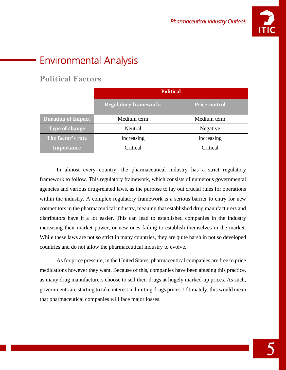

# Environmental Analysis

### **Political Factors**

|                           | <b>Political</b>             |                      |
|---------------------------|------------------------------|----------------------|
|                           | <b>Regulatory frameworks</b> | <b>Price control</b> |
| <b>Duration of Impact</b> | Medium term                  | Medium term          |
| <b>Type of change</b>     | Neutral                      | Negative             |
| The factor's rate         | Increasing                   | Increasing           |
| <b>Importance</b>         | Critical                     | Critical             |

In almost every country, the pharmaceutical industry has a strict regulatory framework to follow. This regulatory framework, which consists of numerous governmental agencies and various drug-related laws, as the purpose to lay out crucial rules for operations within the industry. A complex regulatory framework is a serious barrier to entry for new competitors in the pharmaceutical industry, meaning that established drug manufacturers and distributors have it a lot easier. This can lead to established companies in the industry increasing their market power, or new ones failing to establish themselves in the market. While these laws are not so strict in many countries, they are quite harsh in not so developed countries and do not allow the pharmaceutical industry to evolve.

As for price pressure, in the United States, pharmaceutical companies are free to price medications however they want. Because of this, companies have been abusing this practice, as many drug manufacturers choose to sell their drugs at hugely marked-up prices. As such, governments are starting to take interest in limiting drugs prices. Ultimately, this would mean that pharmaceutical companies will face major losses.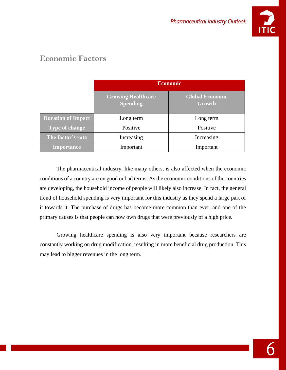

## **Economic Factors**

|                           | <b>Economic</b>                              |                                  |
|---------------------------|----------------------------------------------|----------------------------------|
|                           | <b>Growing Healthcare</b><br><b>Spending</b> | <b>Global Economic</b><br>Growth |
| <b>Duration of Impact</b> | Long term                                    | Long term                        |
| <b>Type of change</b>     | Positive                                     | Positive                         |
| The factor's rate         | Increasing                                   | Increasing                       |
| <b>Importance</b>         | Important                                    | Important                        |

The pharmaceutical industry, like many others, is also affected when the economic conditions of a country are on good or bad terms. As the economic conditions of the countries are developing, the household income of people will likely also increase. In fact, the general trend of household spending is very important for this industry as they spend a large part of it towards it. The purchase of drugs has become more common than ever, and one of the primary causes is that people can now own drugs that were previously of a high price.

Growing healthcare spending is also very important because researchers are constantly working on drug modification, resulting in more beneficial drug production. This may lead to bigger revenues in the long term.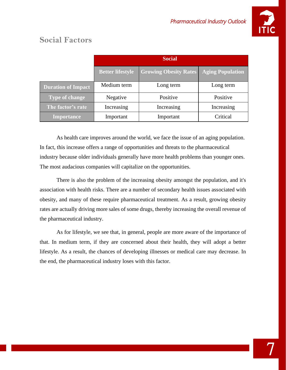

|                           | <b>Social</b>           |                              |                         |
|---------------------------|-------------------------|------------------------------|-------------------------|
|                           | <b>Better lifestyle</b> | <b>Growing Obesity Rates</b> | <b>Aging Population</b> |
| <b>Duration of Impact</b> | Medium term             | Long term                    | Long term               |
| <b>Type of change</b>     | Negative                | Positive                     | Positive                |
| The factor's rate         | Increasing              | Increasing                   | Increasing              |
| <b>Importance</b>         | Important               | Important                    | Critical                |

## **Social Factors**

As health care improves around the world, we face the issue of an aging population. In fact, this increase offers a range of opportunities and threats to the pharmaceutical industry because older individuals generally have more health problems than younger ones. The most audacious companies will capitalize on the opportunities.

There is also the problem of the increasing obesity amongst the population, and it's association with health risks. There are a number of secondary health issues associated with obesity, and many of these require pharmaceutical treatment. As a result, growing obesity rates are actually driving more sales of some drugs, thereby increasing the overall revenue of the pharmaceutical industry.

As for lifestyle, we see that, in general, people are more aware of the importance of that. In medium term, if they are concerned about their health, they will adopt a better lifestyle. As a result, the chances of developing illnesses or medical care may decrease. In the end, the pharmaceutical industry loses with this factor.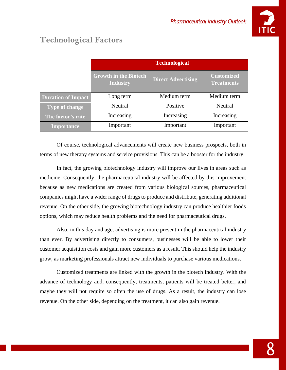

## **Technological Factors**

|                           | <b>Technological</b>                            |                           |                                        |
|---------------------------|-------------------------------------------------|---------------------------|----------------------------------------|
|                           | <b>Growth in the Biotech</b><br><b>Industry</b> | <b>Direct Advertising</b> | <b>Customized</b><br><b>Treatments</b> |
| <b>Duration of Impact</b> | Long term                                       | Medium term               | Medium term                            |
| <b>Type of change</b>     | Neutral                                         | Positive                  | Neutral                                |
| The factor's rate         | Increasing                                      | Increasing                | Increasing                             |
| <b>Importance</b>         | Important                                       | Important                 | Important                              |

Of course, technological advancements will create new business prospects, both in terms of new therapy systems and service provisions. This can be a booster for the industry.

In fact, the growing biotechnology industry will improve our lives in areas such as medicine. Consequently, the pharmaceutical industry will be affected by this improvement because as new medications are created from various biological sources, pharmaceutical companies might have a wider range of drugs to produce and distribute, generating additional revenue. On the other side, the growing biotechnology industry can produce healthier foods options, which may reduce health problems and the need for pharmaceutical drugs.

Also, in this day and age, advertising is more present in the pharmaceutical industry than ever. By advertising directly to consumers, businesses will be able to lower their customer acquisition costs and gain more customers as a result. This should help the industry grow, as marketing professionals attract new individuals to purchase various medications.

Customized treatments are linked with the growth in the biotech industry. With the advance of technology and, consequently, treatments, patients will be treated better, and maybe they will not require so often the use of drugs. As a result, the industry can lose revenue. On the other side, depending on the treatment, it can also gain revenue.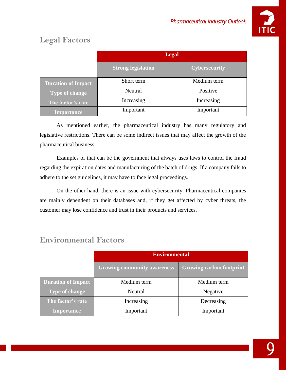

## **Legal Factors**

|                           | <b>Legal</b>              |                      |
|---------------------------|---------------------------|----------------------|
|                           | <b>Strong legislation</b> | <b>Cybersecurity</b> |
| <b>Duration of Impact</b> | Short term                | Medium term          |
| <b>Type of change</b>     | Neutral                   | Positive             |
| The factor's rate         | Increasing                | Increasing           |
| <b>Importance</b>         | Important                 | Important            |

As mentioned earlier, the pharmaceutical industry has many regulatory and legislative restrictions. There can be some indirect issues that may affect the growth of the pharmaceutical business.

Examples of that can be the government that always uses laws to control the fraud regarding the expiration dates and manufacturing of the batch of drugs. If a company fails to adhere to the set guidelines, it may have to face legal proceedings.

On the other hand, there is an issue with cybersecurity. Pharmaceutical companies are mainly dependent on their databases and, if they get affected by cyber threats, the customer may lose confidence and trust in their products and services.

|                           | <b>Environmental</b>               |                                 |
|---------------------------|------------------------------------|---------------------------------|
|                           | <b>Growing community awareness</b> | <b>Growing carbon footprint</b> |
| <b>Duration of Impact</b> | Medium term                        | Medium term                     |
| <b>Type of change</b>     | Neutral                            | Negative                        |
| The factor's rate         | Increasing                         | Decreasing                      |
| <b>Importance</b>         | Important                          | Important                       |

## **Environmental Factors**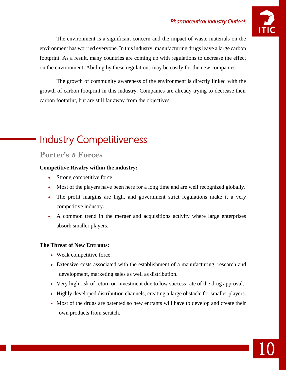

The environment is a significant concern and the impact of waste materials on the environment has worried everyone. In this industry, manufacturing drugs leave a large carbon footprint. As a result, many countries are coming up with regulations to decrease the effect on the environment. Abiding by these regulations may be costly for the new companies.

The growth of community awareness of the environment is directly linked with the growth of carbon footprint in this industry. Companies are already trying to decrease their carbon footprint, but are still far away from the objectives.

# Industry Competitiveness

#### **Porter's 5 Forces**

#### **Competitive Rivalry within the industry:**

- Strong competitive force.
- Most of the players have been here for a long time and are well recognized globally.
- The profit margins are high, and government strict regulations make it a very competitive industry.
- A common trend in the merger and acquisitions activity where large enterprises absorb smaller players.

#### **The Threat of New Entrants:**

- Weak competitive force.
- Extensive costs associated with the establishment of a manufacturing, research and development, marketing sales as well as distribution.
- Very high risk of return on investment due to low success rate of the drug approval.
- Highly developed distribution channels, creating a large obstacle for smaller players.
- Most of the drugs are patented so new entrants will have to develop and create their own products from scratch.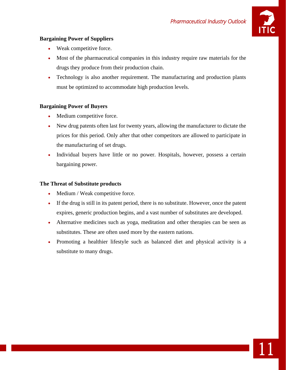

11

#### **Bargaining Power of Suppliers**

- Weak competitive force.
- Most of the pharmaceutical companies in this industry require raw materials for the drugs they produce from their production chain.
- Technology is also another requirement. The manufacturing and production plants must be optimized to accommodate high production levels.

#### **Bargaining Power of Buyers**

- Medium competitive force.
- New drug patents often last for twenty years, allowing the manufacturer to dictate the prices for this period. Only after that other competitors are allowed to participate in the manufacturing of set drugs.
- Individual buyers have little or no power. Hospitals, however, possess a certain bargaining power.

#### **The Threat of Substitute products**

- Medium / Weak competitive force.
- If the drug is still in its patent period, there is no substitute. However, once the patent expires, generic production begins, and a vast number of substitutes are developed.
- Alternative medicines such as yoga, meditation and other therapies can be seen as substitutes. These are often used more by the eastern nations.
- Promoting a healthier lifestyle such as balanced diet and physical activity is a substitute to many drugs.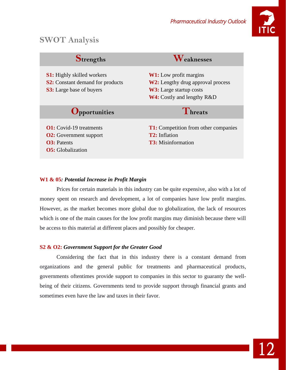

## **SWOT Analysis**

| Strengths                                                                                                       | <i>Leaknesses</i>                                                                                                                                |
|-----------------------------------------------------------------------------------------------------------------|--------------------------------------------------------------------------------------------------------------------------------------------------|
| <b>S1:</b> Highly skilled workers<br><b>S2:</b> Constant demand for products<br><b>S3:</b> Large base of buyers | <b>W1:</b> Low profit margins<br><b>W2:</b> Lengthy drug approval process<br><b>W3:</b> Large startup costs<br><b>W4:</b> Costly and lengthy R&D |
| <b>Opportunities</b>                                                                                            | Threats                                                                                                                                          |
|                                                                                                                 |                                                                                                                                                  |

#### **W1 & 05***: Potential Increase in Profit Margin*

Prices for certain materials in this industry can be quite expensive, also with a lot of money spent on research and development, a lot of companies have low profit margins. However, as the market becomes more global due to globalization, the lack of resources which is one of the main causes for the low profit margins may diminish because there will be access to this material at different places and possibly for cheaper.

#### **S2 & O2:** *Government Support for the Greater Good*

Considering the fact that in this industry there is a constant demand from organizations and the general public for treatments and pharmaceutical products, governments oftentimes provide support to companies in this sector to guaranty the wellbeing of their citizens. Governments tend to provide support through financial grants and sometimes even have the law and taxes in their favor.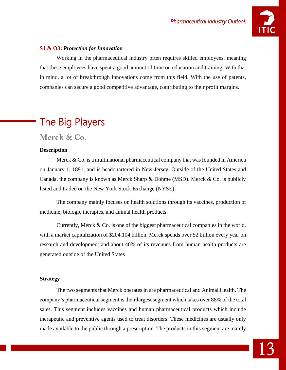

#### **S1 & O3:** *Protection for Innovation*

Working in the pharmaceutical industry often requires skilled employees, meaning that these employees have spent a good amount of time on education and training. With that in mind, a lot of breakthrough innovations come from this field. With the use of patents, companies can secure a good competitive advantage, contributing to their profit margins.

# The Big Players

**Merck & Co.**

#### **Description**

Merck  $& Co.$  is a multinational pharmaceutical company that was founded in America on January 1, 1891, and is headquartered in New Jersey. Outside of the United States and Canada, the company is known as Merck Sharp & Dohme (MSD). Merck & Co. is publicly listed and traded on the New York Stock Exchange (NYSE).

The company mainly focuses on health solutions through its vaccines, production of medicine, biologic therapies, and animal health products.

Currently, Merck & Co. is one of the biggest pharmaceutical companies in the world, with a market capitalization of \$204.104 billion. Merck spends over \$2 billion every year on research and development and about 40% of its revenues from human health products are generated outside of the United States

#### **Strategy**

The two segments that Merck operates in are pharmaceutical and Animal Health. The company's pharmaceutical segment is their largest segment which takes over 88% of the total sales. This segment includes vaccines and human pharmaceutical products which include therapeutic and preventive agents used to treat disorders. These medicines are usually only made available to the public through a prescription. The products in this segment are mainly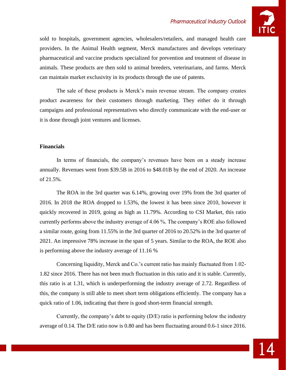

sold to hospitals, government agencies, wholesalers/retailers, and managed health care providers. In the Animal Health segment, Merck manufactures and develops veterinary pharmaceutical and vaccine products specialized for prevention and treatment of disease in animals. These products are then sold to animal breeders, veterinarians, and farms. Merck can maintain market exclusivity in its products through the use of patents.

The sale of these products is Merck's main revenue stream. The company creates product awareness for their customers through marketing. They either do it through campaigns and professional representatives who directly communicate with the end-user or it is done through joint ventures and licenses.

#### **Financials**

In terms of financials, the company's revenues have been on a steady increase annually. Revenues went from \$39.5B in 2016 to \$48.01B by the end of 2020. An increase of 21.5%.

The ROA in the 3rd quarter was 6.14%, growing over 19% from the 3rd quarter of 2016. In 2018 the ROA dropped to 1.53%, the lowest it has been since 2010, however it quickly recovered in 2019, going as high as 11.79%. According to CSI Market, this ratio currently performs above the industry average of 4.06 %. The company's ROE also followed a similar route, going from 11.55% in the 3rd quarter of 2016 to 20.52% in the 3rd quarter of 2021. An impressive 78% increase in the span of 5 years. Similar to the ROA, the ROE also is performing above the industry average of 11.16 %

Concerning liquidity, Merck and Co.'s current ratio has mainly fluctuated from 1.02- 1.82 since 2016. There has not been much fluctuation in this ratio and it is stable. Currently, this ratio is at 1.31, which is underperforming the industry average of 2.72. Regardless of this, the company is still able to meet short term obligations efficiently. The company has a quick ratio of 1.06, indicating that there is good short-term financial strength.

Currently, the company's debt to equity (D/E) ratio is performing below the industry average of 0.14. The D/E ratio now is 0.80 and has been fluctuating around 0.6-1 since 2016.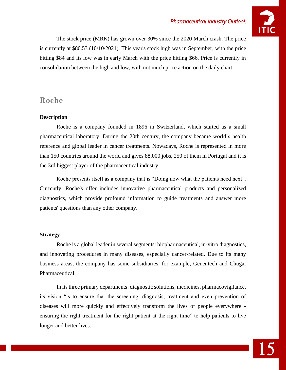

The stock price (MRK) has grown over 30% since the 2020 March crash. The price is currently at \$80.53 (10/10/2021). This year's stock high was in September, with the price hitting \$84 and its low was in early March with the price hitting \$66. Price is currently in consolidation between the high and low, with not much price action on the daily chart.

#### **Roche**

#### **Description**

Roche is a company founded in 1896 in Switzerland, which started as a small pharmaceutical laboratory. During the 20th century, the company became world's health reference and global leader in cancer treatments. Nowadays, Roche is represented in more than 150 countries around the world and gives 88,000 jobs, 250 of them in Portugal and it is the 3rd biggest player of the pharmaceutical industry.

Roche presents itself as a company that is "Doing now what the patients need next". Currently, Roche's offer includes innovative pharmaceutical products and personalized diagnostics, which provide profound information to guide treatments and answer more patients' questions than any other company.

#### **Strategy**

Roche is a global leader in several segments: biopharmaceutical, in-vitro diagnostics, and innovating procedures in many diseases, especially cancer-related. Due to its many business areas, the company has some subsidiaries, for example, Genentech and Chugai Pharmaceutical.

In its three primary departments: diagnostic solutions, medicines, pharmacovigilance, its vision "is to ensure that the screening, diagnosis, treatment and even prevention of diseases will more quickly and effectively transform the lives of people everywhere ensuring the right treatment for the right patient at the right time" to help patients to live longer and better lives.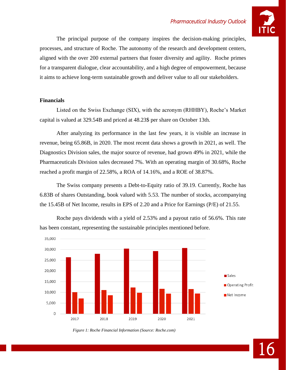

The principal purpose of the company inspires the decision-making principles, processes, and structure of Roche. The autonomy of the research and development centers, aligned with the over 200 external partners that foster diversity and agility. Roche primes for a transparent dialogue, clear accountability, and a high degree of empowerment, because it aims to achieve long-term sustainable growth and deliver value to all our stakeholders.

#### **Financials**

Listed on the Swiss Exchange (SIX), with the acronym (RHHBY), Roche's Market capital is valued at 329.54B and priced at 48.23\$ per share on October 13th.

After analyzing its performance in the last few years, it is visible an increase in revenue, being 65.86B, in 2020. The most recent data shows a growth in 2021, as well. The Diagnostics Division sales, the major source of revenue, had grown 49% in 2021, while the Pharmaceuticals Division sales decreased 7%. With an operating margin of 30.68%, Roche reached a profit margin of 22.58%, a ROA of 14.16%, and a ROE of 38.87%.

The Swiss company presents a Debt-to-Equity ratio of 39.19. Currently, Roche has 6.83B of shares Outstanding, book valued with 5.53. The number of stocks, accompanying the 15.45B of Net Income, results in EPS of 2.20 and a Price for Earnings (P/E) of 21.55.



Roche pays dividends with a yield of 2.53% and a payout ratio of 56.6%. This rate has been constant, representing the sustainable principles mentioned before.

*Figure 1: Roche Financial Information (Source: Roche.com)*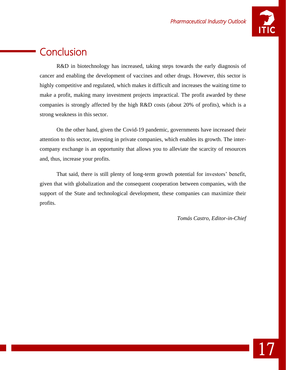

## **Conclusion**

R&D in biotechnology has increased, taking steps towards the early diagnosis of cancer and enabling the development of vaccines and other drugs. However, this sector is highly competitive and regulated, which makes it difficult and increases the waiting time to make a profit, making many investment projects impractical. The profit awarded by these companies is strongly affected by the high R&D costs (about 20% of profits), which is a strong weakness in this sector.

On the other hand, given the Covid-19 pandemic, governments have increased their attention to this sector, investing in private companies, which enables its growth. The intercompany exchange is an opportunity that allows you to alleviate the scarcity of resources and, thus, increase your profits.

That said, there is still plenty of long-term growth potential for investors' benefit, given that with globalization and the consequent cooperation between companies, with the support of the State and technological development, these companies can maximize their profits.

*Tomás Castro, Editor-in-Chief*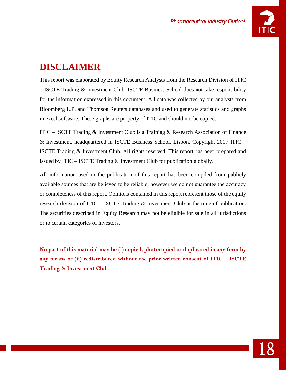

## **DISCLAIMER**

This report was elaborated by Equity Research Analysts from the Research Division of ITIC – ISCTE Trading & Investment Club. ISCTE Business School does not take responsibility for the information expressed in this document. All data was collected by our analysts from Bloomberg L.P. and Thomson Reuters databases and used to generate statistics and graphs in excel software. These graphs are property of ITIC and should not be copied.

ITIC – ISCTE Trading & Investment Club is a Training & Research Association of Finance & Investment, headquartered in ISCTE Business School, Lisbon. Copyright 2017 ITIC – ISCTE Trading & Investment Club. All rights reserved. This report has been prepared and issued by ITIC – ISCTE Trading  $&$  Investment Club for publication globally.

All information used in the publication of this report has been compiled from publicly available sources that are believed to be reliable, however we do not guarantee the accuracy or completeness of this report. Opinions contained in this report represent those of the equity research division of ITIC – ISCTE Trading & Investment Club at the time of publication. The securities described in Equity Research may not be eligible for sale in all jurisdictions or to certain categories of investors.

**No part of this material may be (i) copied, photocopied or duplicated in any form by any means or (ii) redistributed without the prior written consent of ITIC – ISCTE Trading & Investment Club.**